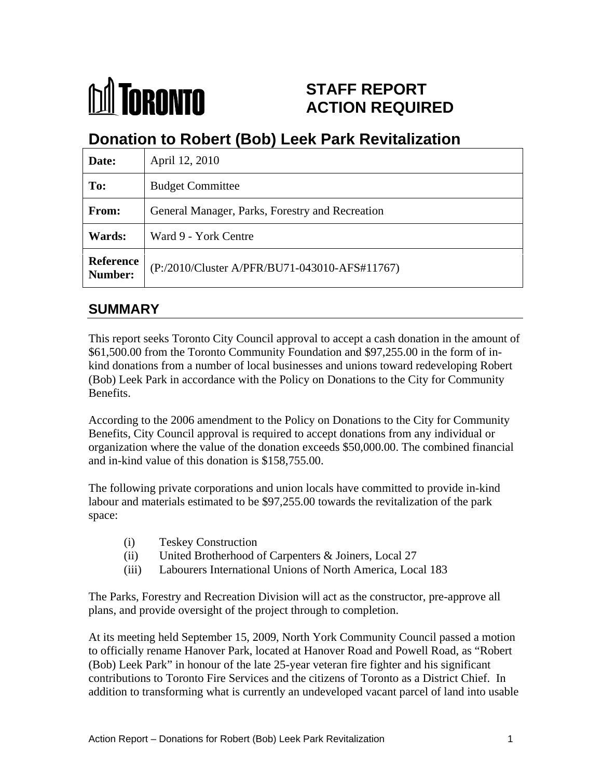

# **STAFF REPORT ACTION REQUIRED**

# **Donation to Robert (Bob) Leek Park Revitalization**

| Date:                | April 12, 2010                                        |
|----------------------|-------------------------------------------------------|
| To:                  | <b>Budget Committee</b>                               |
| From:                | General Manager, Parks, Forestry and Recreation       |
| Wards:               | Ward 9 - York Centre                                  |
| Reference<br>Number: | $\left($ P:/2010/Cluster A/PFR/BU71-043010-AFS#11767) |

# **SUMMARY**

This report seeks Toronto City Council approval to accept a cash donation in the amount of \$61,500.00 from the Toronto Community Foundation and \$97,255.00 in the form of in kind donations from a number of local businesses and unions toward redeveloping Robert (Bob) Leek Park in accordance with the Policy on Donations to the City for Community Benefits.

According to the 2006 amendment to the Policy on Donations to the City for Community Benefits, City Council approval is required to accept donations from any individual or organization where the value of the donation exceeds \$50,000.00. The combined financial and in-kind value of this donation is \$158,755.00.

The following private corporations and union locals have committed to provide in-kind labour and materials estimated to be \$97,255.00 towards the revitalization of the park space:

- (i) Teskey Construction
- (ii) United Brotherhood of Carpenters & Joiners, Local 27
- (iii) Labourers International Unions of North America, Local 183

The Parks, Forestry and Recreation Division will act as the constructor, pre-approve all plans, and provide oversight of the project through to completion.

At its meeting held September 15, 2009, North York Community Council passed a motion to officially rename Hanover Park, located at Hanover Road and Powell Road, as "Robert (Bob) Leek Park" in honour of the late 25-year veteran fire fighter and his significant contributions to Toronto Fire Services and the citizens of Toronto as a District Chief. In addition to transforming what is currently an undeveloped vacant parcel of land into usable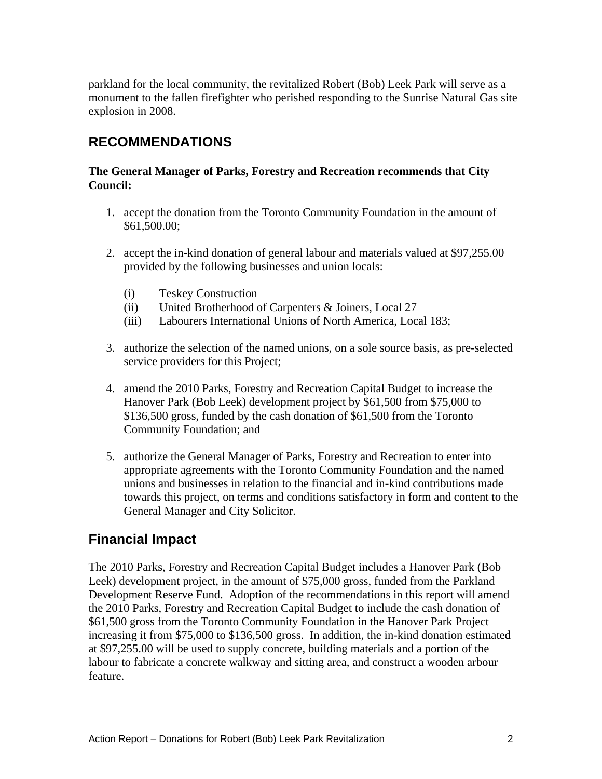parkland for the local community, the revitalized Robert (Bob) Leek Park will serve as a monument to the fallen firefighter who perished responding to the Sunrise Natural Gas site explosion in 2008.

### **RECOMMENDATIONS**

#### **The General Manager of Parks, Forestry and Recreation recommends that City Council:**

- 1. accept the donation from the Toronto Community Foundation in the amount of \$61,500.00;
- 2. accept the in-kind donation of general labour and materials valued at \$97,255.00 provided by the following businesses and union locals:
	- (i) Teskey Construction
	- (ii) United Brotherhood of Carpenters & Joiners, Local 27
	- (iii) Labourers International Unions of North America, Local 183;
- 3. authorize the selection of the named unions, on a sole source basis, as pre-selected service providers for this Project;
- 4. amend the 2010 Parks, Forestry and Recreation Capital Budget to increase the Hanover Park (Bob Leek) development project by \$61,500 from \$75,000 to \$136,500 gross, funded by the cash donation of \$61,500 from the Toronto Community Foundation; and
- 5. authorize the General Manager of Parks, Forestry and Recreation to enter into appropriate agreements with the Toronto Community Foundation and the named unions and businesses in relation to the financial and in-kind contributions made towards this project, on terms and conditions satisfactory in form and content to the General Manager and City Solicitor.

# **Financial Impact**

The 2010 Parks, Forestry and Recreation Capital Budget includes a Hanover Park (Bob Leek) development project, in the amount of \$75,000 gross, funded from the Parkland Development Reserve Fund. Adoption of the recommendations in this report will amend the 2010 Parks, Forestry and Recreation Capital Budget to include the cash donation of \$61,500 gross from the Toronto Community Foundation in the Hanover Park Project increasing it from \$75,000 to \$136,500 gross. In addition, the in-kind donation estimated at \$97,255.00 will be used to supply concrete, building materials and a portion of the labour to fabricate a concrete walkway and sitting area, and construct a wooden arbour feature.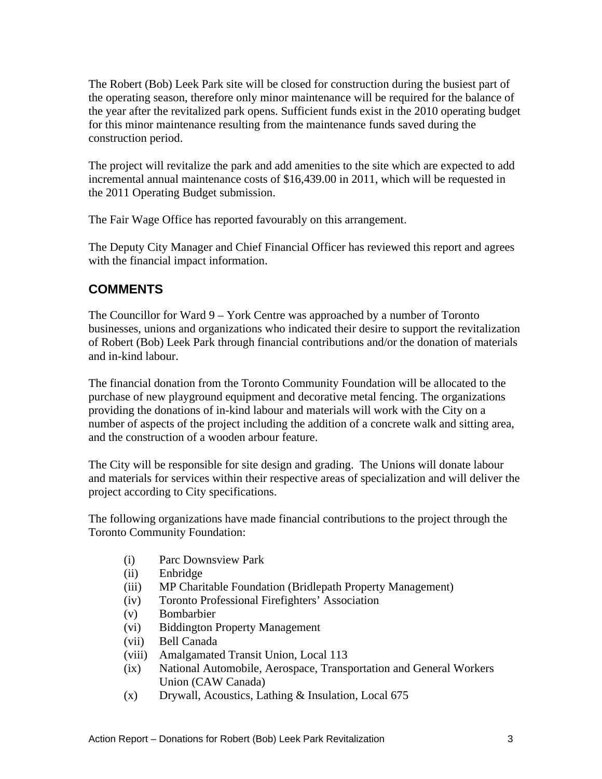The Robert (Bob) Leek Park site will be closed for construction during the busiest part of the operating season, therefore only minor maintenance will be required for the balance of the year after the revitalized park opens. Sufficient funds exist in the 2010 operating budget for this minor maintenance resulting from the maintenance funds saved during the construction period.

The project will revitalize the park and add amenities to the site which are expected to add incremental annual maintenance costs of \$16,439.00 in 2011, which will be requested in the 2011 Operating Budget submission.

The Fair Wage Office has reported favourably on this arrangement.

The Deputy City Manager and Chief Financial Officer has reviewed this report and agrees with the financial impact information.

# **COMMENTS**

The Councillor for Ward 9 – York Centre was approached by a number of Toronto businesses, unions and organizations who indicated their desire to support the revitalization of Robert (Bob) Leek Park through financial contributions and/or the donation of materials and in-kind labour.

The financial donation from the Toronto Community Foundation will be allocated to the purchase of new playground equipment and decorative metal fencing. The organizations providing the donations of in-kind labour and materials will work with the City on a number of aspects of the project including the addition of a concrete walk and sitting area, and the construction of a wooden arbour feature. The City will be responsible for site design and grading. The Unions will donate labour

and materials for services within their respective areas of specialization and will deliver the project according to City specifications.

The following organizations have made financial contributions to the project through the Toronto Community Foundation:

- (i) Parc Downsview Park
- (ii) Enbridge
- (iii) MP Charitable Foundation (Bridlepath Property Management)
- (iv) Toronto Professional Firefighters' Association
- (v) Bombarbier
- (vi) Biddington Property Management
- (vii) Bell Canada
- (viii) Amalgamated Transit Union, Local 113
- (ix) National Automobile, Aerospace, Transportation and General Workers Union (CAW Canada)
- (x) Drywall, Acoustics, Lathing & Insulation, Local 675